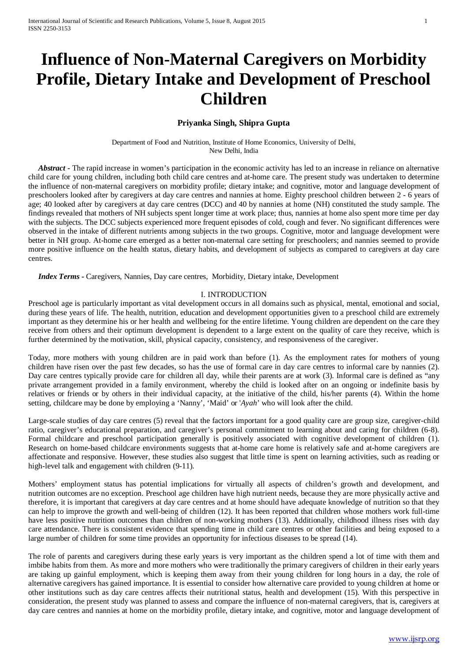# **Influence of Non-Maternal Caregivers on Morbidity Profile, Dietary Intake and Development of Preschool Children**

# **Priyanka Singh, Shipra Gupta**

Department of Food and Nutrition, Institute of Home Economics, University of Delhi, New Delhi, India

*Abstract* - The rapid increase in women's participation in the economic activity has led to an increase in reliance on alternative child care for young children, including both child care centres and at-home care. The present study was undertaken to determine the influence of non-maternal caregivers on morbidity profile; dietary intake; and cognitive, motor and language development of preschoolers looked after by caregivers at day care centres and nannies at home. Eighty preschool children between 2 - 6 years of age; 40 looked after by caregivers at day care centres (DCC) and 40 by nannies at home (NH) constituted the study sample. The findings revealed that mothers of NH subjects spent longer time at work place; thus, nannies at home also spent more time per day with the subjects. The DCC subjects experienced more frequent episodes of cold, cough and fever. No significant differences were observed in the intake of different nutrients among subjects in the two groups. Cognitive, motor and language development were better in NH group. At-home care emerged as a better non-maternal care setting for preschoolers; and nannies seemed to provide more positive influence on the health status, dietary habits, and development of subjects as compared to caregivers at day care centres.

 *Index Terms* **-** Caregivers, Nannies, Day care centres, Morbidity, Dietary intake, Development

## I. INTRODUCTION

Preschool age is particularly important as vital development occurs in all domains such as physical, mental, emotional and social, during these years of life. The health, nutrition, education and development opportunities given to a preschool child are extremely important as they determine his or her health and wellbeing for the entire lifetime. Young children are dependent on the care they receive from others and their optimum development is dependent to a large extent on the quality of care they receive, which is further determined by the motivation, skill, physical capacity, consistency, and responsiveness of the caregiver.

Today, more mothers with young children are in paid work than before (1). As the employment rates for mothers of young children have risen over the past few decades, so has the use of formal care in day care centres to informal care by nannies (2). Day care centres typically provide care for children all day, while their parents are at work (3). Informal care is defined as "any private arrangement provided in a family environment, whereby the child is looked after on an ongoing or indefinite basis by relatives or friends or by others in their individual capacity, at the initiative of the child, his/her parents (4). Within the home setting, childcare may be done by employing a 'Nanny', 'Maid' or '*Ayah*' who will look after the child.

Large-scale studies of day care centres (5) reveal that the factors important for a good quality care are group size, caregiver-child ratio, caregiver's educational preparation, and caregiver's personal commitment to learning about and caring for children (6-8). Formal childcare and preschool participation generally is positively associated with cognitive development of children (1). Research on home-based childcare environments suggests that at-home care home is relatively safe and at-home caregivers are affectionate and responsive. However, these studies also suggest that little time is spent on learning activities, such as reading or high-level talk and engagement with children  $(9-11)$ .

Mothers' employment status has potential implications for virtually all aspects of children's growth and development, and nutrition outcomes are no exception. Preschool age children have high nutrient needs, because they are more physically active and therefore, it is important that caregivers at day care centres and at home should have adequate knowledge of nutrition so that they can help to improve the growth and well-being of children (12). It has been reported that children whose mothers work full-time have less positive nutrition outcomes than children of non-working mothers (13). Additionally, childhood illness rises with day care attendance. There is consistent evidence that spending time in child care centres or other facilities and being exposed to a large number of children for some time provides an opportunity for infectious diseases to be spread (14).

The role of parents and caregivers during these early years is very important as the children spend a lot of time with them and imbibe habits from them. As more and more mothers who were traditionally the primary caregivers of children in their early years are taking up gainful employment, which is keeping them away from their young children for long hours in a day, the role of alternative caregivers has gained importance. It is essential to consider how alternative care provided to young children at home or other institutions such as day care centres affects their nutritional status, health and development (15). With this perspective in consideration, the present study was planned to assess and compare the influence of non-maternal caregivers, that is, caregivers at day care centres and nannies at home on the morbidity profile, dietary intake, and cognitive, motor and language development of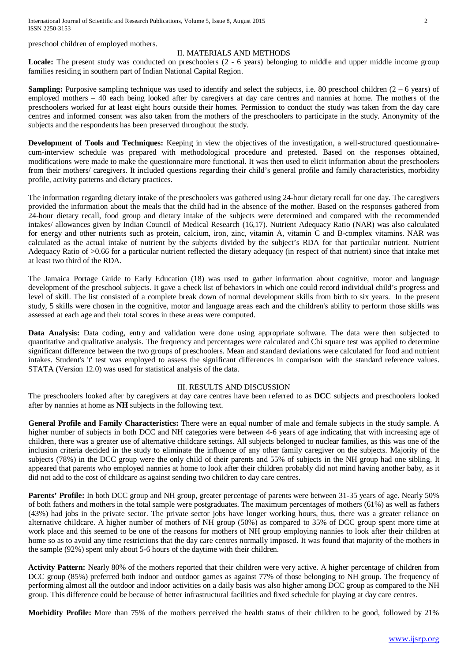International Journal of Scientific and Research Publications, Volume 5, Issue 8, August 2015 2 ISSN 2250-3153

preschool children of employed mothers.

### II. MATERIALS AND METHODS

Locale: The present study was conducted on preschoolers (2 - 6 years) belonging to middle and upper middle income group families residing in southern part of Indian National Capital Region.

**Sampling:** Purposive sampling technique was used to identify and select the subjects, i.e. 80 preschool children (2 – 6 years) of employed mothers – 40 each being looked after by caregivers at day care centres and nannies at home. The mothers of the preschoolers worked for at least eight hours outside their homes. Permission to conduct the study was taken from the day care centres and informed consent was also taken from the mothers of the preschoolers to participate in the study. Anonymity of the subjects and the respondents has been preserved throughout the study.

**Development of Tools and Techniques:** Keeping in view the objectives of the investigation, a well-structured questionnairecum-interview schedule was prepared with methodological procedure and pretested. Based on the responses obtained, modifications were made to make the questionnaire more functional. It was then used to elicit information about the preschoolers from their mothers/ caregivers. It included questions regarding their child's general profile and family characteristics, morbidity profile, activity patterns and dietary practices.

The information regarding dietary intake of the preschoolers was gathered using 24-hour dietary recall for one day. The caregivers provided the information about the meals that the child had in the absence of the mother. Based on the responses gathered from 24-hour dietary recall, food group and dietary intake of the subjects were determined and compared with the recommended intakes/ allowances given by Indian Council of Medical Research (16,17). Nutrient Adequacy Ratio (NAR) was also calculated for energy and other nutrients such as protein, calcium, iron, zinc, vitamin A, vitamin C and B-complex vitamins. NAR was calculated as the actual intake of nutrient by the subjects divided by the subject's RDA for that particular nutrient. Nutrient Adequacy Ratio of >0.66 for a particular nutrient reflected the dietary adequacy (in respect of that nutrient) since that intake met at least two third of the RDA.

The Jamaica Portage Guide to Early Education (18) was used to gather information about cognitive, motor and language development of the preschool subjects. It gave a check list of behaviors in which one could record individual child's progress and level of skill. The list consisted of a complete break down of normal development skills from birth to six years. In the present study, 5 skills were chosen in the cognitive, motor and language areas each and the children's ability to perform those skills was assessed at each age and their total scores in these areas were computed.

**Data Analysis:** Data coding, entry and validation were done using appropriate software. The data were then subjected to quantitative and qualitative analysis. The frequency and percentages were calculated and Chi square test was applied to determine significant difference between the two groups of preschoolers. Mean and standard deviations were calculated for food and nutrient intakes. Student's 't' test was employed to assess the significant differences in comparison with the standard reference values. STATA (Version 12.0) was used for statistical analysis of the data.

#### III. RESULTS AND DISCUSSION

The preschoolers looked after by caregivers at day care centres have been referred to as **DCC** subjects and preschoolers looked after by nannies at home as **NH** subjects in the following text.

**General Profile and Family Characteristics:** There were an equal number of male and female subjects in the study sample. A higher number of subjects in both DCC and NH categories were between 4-6 years of age indicating that with increasing age of children, there was a greater use of alternative childcare settings. All subjects belonged to nuclear families, as this was one of the inclusion criteria decided in the study to eliminate the influence of any other family caregiver on the subjects. Majority of the subjects (78%) in the DCC group were the only child of their parents and 55% of subjects in the NH group had one sibling. It appeared that parents who employed nannies at home to look after their children probably did not mind having another baby, as it did not add to the cost of childcare as against sending two children to day care centres.

**Parents' Profile:** In both DCC group and NH group, greater percentage of parents were between 31-35 years of age. Nearly 50% of both fathers and mothers in the total sample were postgraduates. The maximum percentages of mothers (61%) as well as fathers (43%) had jobs in the private sector. The private sector jobs have longer working hours, thus, there was a greater reliance on alternative childcare. A higher number of mothers of NH group (50%) as compared to 35% of DCC group spent more time at work place and this seemed to be one of the reasons for mothers of NH group employing nannies to look after their children at home so as to avoid any time restrictions that the day care centres normally imposed. It was found that majority of the mothers in the sample (92%) spent only about 5-6 hours of the daytime with their children.

**Activity Pattern:** Nearly 80% of the mothers reported that their children were very active. A higher percentage of children from DCC group (85%) preferred both indoor and outdoor games as against 77% of those belonging to NH group. The frequency of performing almost all the outdoor and indoor activities on a daily basis was also higher among DCC group as compared to the NH group. This difference could be because of better infrastructural facilities and fixed schedule for playing at day care centres.

**Morbidity Profile:** More than 75% of the mothers perceived the health status of their children to be good, followed by 21%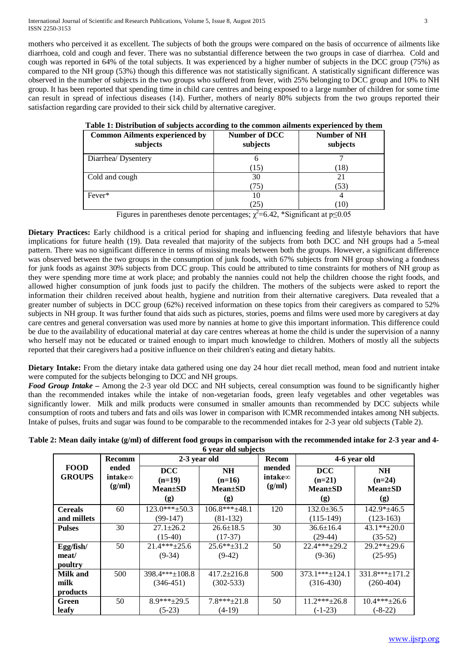mothers who perceived it as excellent. The subjects of both the groups were compared on the basis of occurrence of ailments like diarrhoea, cold and cough and fever. There was no substantial difference between the two groups in case of diarrhea. Cold and cough was reported in 64% of the total subjects. It was experienced by a higher number of subjects in the DCC group (75%) as compared to the NH group (53%) though this difference was not statistically significant. A statistically significant difference was observed in the number of subjects in the two groups who suffered from fever, with 25% belonging to DCC group and 10% to NH group. It has been reported that spending time in child care centres and being exposed to a large number of children for some time can result in spread of infectious diseases (14). Further, mothers of nearly 80% subjects from the two groups reported their satisfaction regarding care provided to their sick child by alternative caregiver.

| <b>Common Ailments experienced by</b><br>subjects | Number of DCC<br>subjects | Number of NH<br>subjects |
|---------------------------------------------------|---------------------------|--------------------------|
| Diarrhea/Dysentery                                |                           |                          |
|                                                   | (15)                      | (18)                     |
| Cold and cough                                    | 30                        | 21                       |
|                                                   | 75                        | (53)                     |
| Fever*                                            | 10                        |                          |
|                                                   | (25                       | 70)                      |

| Table 1: Distribution of subjects according to the common ailments experienced by them |  |  |  |
|----------------------------------------------------------------------------------------|--|--|--|
|                                                                                        |  |  |  |

Figures in parentheses denote percentages;  $\chi^2$ =6.42, \*Significant at p≤0.05

**Dietary Practices:** Early childhood is a critical period for shaping and influencing feeding and lifestyle behaviors that have implications for future health (19). Data revealed that majority of the subjects from both DCC and NH groups had a 5-meal pattern. There was no significant difference in terms of missing meals between both the groups. However, a significant difference was observed between the two groups in the consumption of junk foods, with 67% subjects from NH group showing a fondness for junk foods as against 30% subjects from DCC group. This could be attributed to time constraints for mothers of NH group as they were spending more time at work place; and probably the nannies could not help the children choose the right foods, and allowed higher consumption of junk foods just to pacify the children. The mothers of the subjects were asked to report the information their children received about health, hygiene and nutrition from their alternative caregivers. Data revealed that a greater number of subjects in DCC group (62%) received information on these topics from their caregivers as compared to 52% subjects in NH group. It was further found that aids such as pictures, stories, poems and films were used more by caregivers at day care centres and general conversation was used more by nannies at home to give this important information. This difference could be due to the availability of educational material at day care centres whereas at home the child is under the supervision of a nanny who herself may not be educated or trained enough to impart much knowledge to children. Mothers of mostly all the subjects reported that their caregivers had a positive influence on their children's eating and dietary habits.

**Dietary Intake:** From the dietary intake data gathered using one day 24 hour diet recall method, mean food and nutrient intake were computed for the subjects belonging to DCC and NH groups.

*Food Group Intake –* Among the 2-3 year old DCC and NH subjects, cereal consumption was found to be significantly higher than the recommended intakes while the intake of non-vegetarian foods, green leafy vegetables and other vegetables was significantly lower. Milk and milk products were consumed in smaller amounts than recommended by DCC subjects while consumption of roots and tubers and fats and oils was lower in comparison with ICMR recommended intakes among NH subjects. Intake of pulses, fruits and sugar was found to be comparable to the recommended intakes for 2-3 year old subjects (Table 2).

| Table 2: Mean daily intake (g/ml) of different food groups in comparison with the recommended intake for 2-3 year and 4- |
|--------------------------------------------------------------------------------------------------------------------------|
| 6 year old subjects                                                                                                      |

|                              | <b>Recomm</b>                      | 2-3 year old                                   |                                                 | <b>Recom</b>                        | 4-6 year old                                   |                                               |
|------------------------------|------------------------------------|------------------------------------------------|-------------------------------------------------|-------------------------------------|------------------------------------------------|-----------------------------------------------|
| <b>FOOD</b><br><b>GROUPS</b> | ended<br>intake $\infty$<br>(g/ml) | <b>DCC</b><br>$(n=19)$<br>$Mean \pm SD$<br>(g) | <b>NH</b><br>$(n=16)$<br><b>Mean</b> ±SD<br>(g) | mended<br>intake $\infty$<br>(g/ml) | <b>DCC</b><br>$(n=21)$<br>$Mean \pm SD$<br>(g) | <b>NH</b><br>$(n=24)$<br>$Mean \pm SD$<br>(g) |
| <b>Cereals</b>               | 60                                 | $123.0***\pm 50.3$                             | $106.8***+48.1$                                 | 120                                 | $132.0 \pm 36.5$                               | $142.9*+46.5$                                 |
| and millets                  |                                    | $(99-147)$                                     | $(81-132)$                                      |                                     | $(115-149)$                                    | $(123-163)$                                   |
| <b>Pulses</b>                | 30                                 | $27.1 \pm 26.2$                                | $26.6 \pm 18.5$                                 | 30                                  | $36.6 \pm 16.4$                                | $43.1**+20.0$                                 |
|                              |                                    | $(15-40)$                                      | $(17-37)$                                       |                                     | $(29-44)$                                      | $(35-52)$                                     |
| Egg/fish/                    | 50                                 | $21.4***+25.6$                                 | $25.6***\pm31.2$                                | 50                                  | $22.4***+29.2$                                 | $29.2**+29.6$                                 |
| meat/                        |                                    | $(9-34)$                                       | $(9-42)$                                        |                                     | $(9-36)$                                       | $(25-95)$                                     |
| poultry                      |                                    |                                                |                                                 |                                     |                                                |                                               |
| Milk and                     | 500                                | $398.4***+108.8$                               | $417.2 \pm 216.8$                               | 500                                 | $373.1***+124.1$                               | $331.8***+171.2$                              |
| milk                         |                                    | $(346-451)$                                    | $(302 - 533)$                                   |                                     | $(316-430)$                                    | $(260-404)$                                   |
| products                     |                                    |                                                |                                                 |                                     |                                                |                                               |
| Green                        | 50                                 | $8.9***+29.5$                                  | $7.8***+21.8$                                   | 50                                  | $11.2***+26.8$                                 | $10.4***+26.6$                                |
| leafy                        |                                    | $(5-23)$                                       | $(4-19)$                                        |                                     | $(-1-23)$                                      | $(-8-22)$                                     |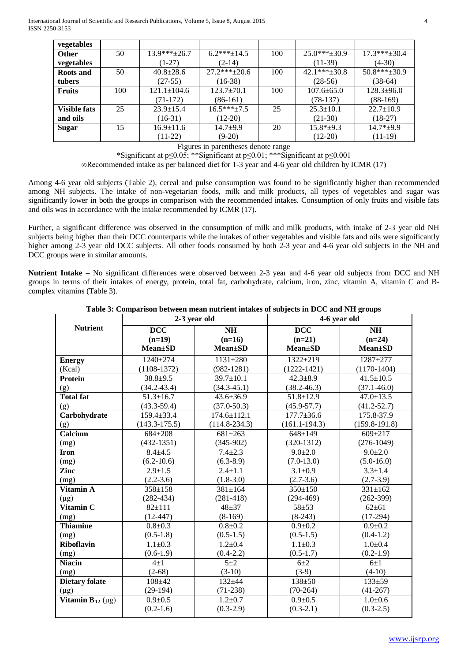| vegetables          |     |                   |                  |     |                  |                  |
|---------------------|-----|-------------------|------------------|-----|------------------|------------------|
| <b>Other</b>        | 50  | $13.9***+26.7$    | $6.2***+14.5$    | 100 | $25.0***+30.9$   | $17.3***+30.4$   |
| vegetables          |     | $(1-27)$          | $(2-14)$         |     | $(11-39)$        | $(4-30)$         |
| <b>Roots and</b>    | 50  | $40.8 \pm 28.6$   | $27.2***+20.6$   | 100 | $42.1***+30.8$   | $50.8***+30.9$   |
| tubers              |     | $(27-55)$         | $(16-38)$        |     | $(28-56)$        | $(38-64)$        |
| <b>Fruits</b>       | 100 | $121.1 \pm 104.6$ | $123.7 \pm 70.1$ | 100 | $107.6 \pm 65.0$ | $128.3 \pm 96.0$ |
|                     |     | $(71-172)$        | $(86-161)$       |     | $(78-137)$       | $(88-169)$       |
| <b>Visible fats</b> | 25  | $23.9 \pm 15.4$   | $16.5***+7.5$    | 25  | $25.3 \pm 10.1$  | $22.7 \pm 10.9$  |
| and oils            |     | $(16-31)$         | $(12-20)$        |     | $(21-30)$        | $(18-27)$        |
| <b>Sugar</b>        | 15  | $16.9 \pm 11.6$   | $14.7 + 9.9$     | 20  | $15.8*+9.3$      | $14.7*+9.9$      |
|                     |     | $(11-22)$         | $(9-20)$         |     | $(12-20)$        | $(11-19)$        |

Figures in parentheses denote range

\*Significant at p≤0.05; \*\*Significant at p≤0.01; \*\*\*Significant at p≤0.001

∞Recommended intake as per balanced diet for 1-3 year and 4-6 year old children by ICMR (17)

Among 4-6 year old subjects (Table 2), cereal and pulse consumption was found to be significantly higher than recommended among NH subjects. The intake of non-vegetarian foods, milk and milk products, all types of vegetables and sugar was significantly lower in both the groups in comparison with the recommended intakes. Consumption of only fruits and visible fats and oils was in accordance with the intake recommended by ICMR (17).

Further, a significant difference was observed in the consumption of milk and milk products, with intake of 2-3 year old NH subjects being higher than their DCC counterparts while the intakes of other vegetables and visible fats and oils were significantly higher among 2-3 year old DCC subjects. All other foods consumed by both 2-3 year and 4-6 year old subjects in the NH and DCC groups were in similar amounts.

**Nutrient Intake –** No significant differences were observed between 2-3 year and 4-6 year old subjects from DCC and NH groups in terms of their intakes of energy, protein, total fat, carbohydrate, calcium, iron, zinc, vitamin A, vitamin C and Bcomplex vitamins (Table 3).

| Table 3: Comparison between mean nutrient intakes of subjects in DCC and NH groups |
|------------------------------------------------------------------------------------|
|------------------------------------------------------------------------------------|

|                         | 2-3 year old      |                   | 4-6 year old      |                 |  |
|-------------------------|-------------------|-------------------|-------------------|-----------------|--|
| <b>Nutrient</b>         | <b>DCC</b>        | <b>NH</b>         | <b>DCC</b>        | <b>NH</b>       |  |
|                         | $(n=19)$          | $(n=16)$          | $(n=21)$          | $(n=24)$        |  |
|                         | $Mean \pm SD$     | <b>Mean±SD</b>    | $Mean \pm SD$     | $Mean \pm SD$   |  |
| <b>Energy</b>           | $1240 \pm 274$    | $1131 \pm 280$    | $1322 + 219$      | $1287 + 277$    |  |
| (Kcal)                  | $(1108-1372)$     | $(982 - 1281)$    | $(1222 - 1421)$   | $(1170-1404)$   |  |
| <b>Protein</b>          | $38.8 + 9.5$      | $39.7 \pm 10.1$   | $42.3 \pm 8.9$    | $41.5 \pm 10.5$ |  |
| (g)                     | $(34.2 - 43.4)$   | $(34.3 - 45.1)$   | $(38.2 - 46.3)$   | $(37.1 - 46.0)$ |  |
| <b>Total fat</b>        | $51.3 \pm 16.7$   | $43.6 \pm 36.9$   | $51.8 \pm 12.9$   | $47.0 \pm 13.5$ |  |
| (g)                     | $(43.3 - 59.4)$   | $(37.0 - 50.3)$   | $(45.9 - 57.7)$   | $(41.2 - 52.7)$ |  |
| Carbohydrate            | 159.4±33.4        | $174.6 \pm 112.1$ | $177.7 \pm 36.6$  | 175.8-37.9      |  |
| (g)                     | $(143.3 - 175.5)$ | $(114.8 - 234.3)$ | $(161.1 - 194.3)$ | $(159.8-191.8)$ |  |
| Calcium                 | $684 + 208$       | $681 \pm 263$     | $648 \pm 149$     | $609 \pm 217$   |  |
| (mg)                    | $(432-1351)$      | $(345-902)$       | $(320-1312)$      | $(276-1049)$    |  |
| <b>Iron</b>             | $8.4 + 4.5$       | $7.4 \pm 2.3$     | $9.0 \pm 2.0$     | $9.0 \pm 2.0$   |  |
| (mg)                    | $(6.2 - 10.6)$    | $(6.3 - 8.9)$     | $(7.0-13.0)$      | $(5.0-16.0)$    |  |
| Zinc                    | $2.9 \pm 1.5$     | $2.4 \pm 1.1$     | $3.1 \pm 0.9$     | $3.3 \pm 1.4$   |  |
| (mg)                    | $(2.2 - 3.6)$     | $(1.8 - 3.0)$     | $(2.7-3.6)$       | $(2.7-3.9)$     |  |
| Vitamin A               | 358±158           | $381 \pm 164$     | 350±150           | $331 \pm 162$   |  |
| $(\mu g)$               | $(282 - 434)$     | $(281-418)$       | $(294-469)$       | $(262-399)$     |  |
| Vitamin <sub>C</sub>    | $82 \pm 111$      | $48 + 37$         | $58 + 53$         | $62 \pm 61$     |  |
| (mg)                    | $(12-447)$        | $(8-169)$         | $(8-243)$         | $(17-294)$      |  |
| <b>Thiamine</b>         | $0.8 + 0.3$       | $0.8 + 0.2$       | $0.9 + 0.2$       | $0.9 + 0.2$     |  |
| (mg)                    | $(0.5-1.8)$       | $(0.5-1.5)$       | $(0.5-1.5)$       | $(0.4-1.2)$     |  |
| <b>Riboflavin</b>       | $1.1 \pm 0.3$     | $1.2 \pm 0.4$     | $1.1 \pm 0.3$     | $1.0 \pm 0.4$   |  |
| (mg)                    | $(0.6-1.9)$       | $(0.4 - 2.2)$     | $(0.5-1.7)$       | $(0.2 - 1.9)$   |  |
| <b>Niacin</b>           | $4+1$             | $5 + 2$           | $6\pm2$           | $6\pm1$         |  |
| (mg)                    | $(2-68)$          | $(3-10)$          | $(3-9)$           | $(4-10)$        |  |
| <b>Dietary folate</b>   | $108 + 42$        | $132 + 44$        | $138 + 50$        | $133 + 59$      |  |
| $(\mu g)$               | $(29-194)$        | $(71-238)$        | $(70-264)$        | $(41-267)$      |  |
| Vitamin $B_{12}(\mu g)$ | $0.9 \pm 0.5$     | $1.2 \pm 0.7$     | $0.9 \pm 0.5$     | $1.0 \pm 0.6$   |  |
|                         | $(0.2-1.6)$       | $(0.3-2.9)$       | $(0.3-2.1)$       | $(0.3 - 2.5)$   |  |
|                         |                   |                   |                   |                 |  |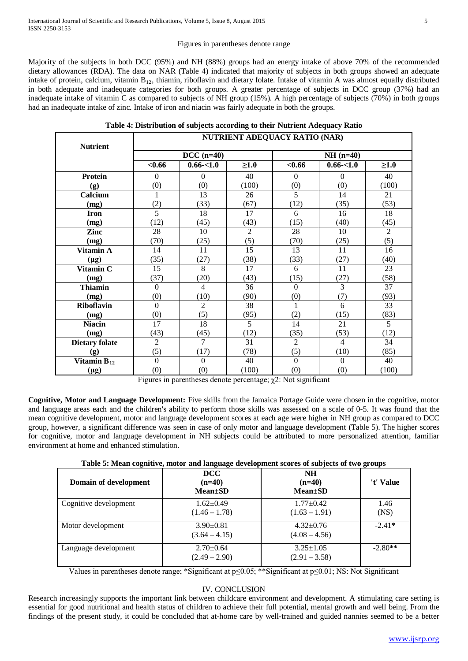### Figures in parentheses denote range

Majority of the subjects in both DCC (95%) and NH (88%) groups had an energy intake of above 70% of the recommended dietary allowances (RDA). The data on NAR (Table 4) indicated that majority of subjects in both groups showed an adequate intake of protein, calcium, vitamin B12, thiamin, riboflavin and dietary folate. Intake of vitamin A was almost equally distributed in both adequate and inadequate categories for both groups. A greater percentage of subjects in DCC group (37%) had an inadequate intake of vitamin C as compared to subjects of NH group (15%). A high percentage of subjects (70%) in both groups had an inadequate intake of zinc. Intake of iron and niacin was fairly adequate in both the groups.

|  |  |  |  | Table 4: Distribution of subjects according to their Nutrient Adequacy Ratio |
|--|--|--|--|------------------------------------------------------------------------------|
|--|--|--|--|------------------------------------------------------------------------------|

| <b>Nutrient</b>       | <b>NUTRIENT ADEQUACY RATIO (NAR)</b> |                |                 |                |                |                |  |
|-----------------------|--------------------------------------|----------------|-----------------|----------------|----------------|----------------|--|
|                       |                                      | $DCC (n=40)$   |                 |                | $NH(n=40)$     |                |  |
|                       | < 0.66                               | $0.66 - 1.0$   | $\geq1.0$       | < 0.66         | $0.66 - 1.0$   | $\geq1.0$      |  |
| <b>Protein</b>        | $\Omega$                             | $\Omega$       | 40              | $\Omega$       | $\theta$       | 40             |  |
| (g)                   | (0)                                  | (0)            | (100)           | (0)            | (0)            | (100)          |  |
| Calcium               | $\mathbf{1}$                         | 13             | 26              | 5              | 14             | 21             |  |
| (mg)                  | (2)                                  | (33)           | (67)            | (12)           | (35)           | (53)           |  |
| <b>Iron</b>           | $\overline{5}$                       | 18             | 17              | 6              | 16             | 18             |  |
| (mg)                  | (12)                                 | (45)           | (43)            | (15)           | (40)           | (45)           |  |
| Zinc                  | 28                                   | 10             | 2               | 28             | 10             | $\overline{2}$ |  |
| (mg)                  | (70)                                 | (25)           | (5)             | (70)           | (25)           | (5)            |  |
| Vitamin A             | 14                                   | 11             | $\overline{15}$ | 13             | 11             | 16             |  |
| $(\mu g)$             | (35)                                 | (27)           | (38)            | (33)           | (27)           | (40)           |  |
| Vitamin C             | 15                                   | 8              | 17              | 6              | 11             | 23             |  |
| (mg)                  | (37)                                 | (20)           | (43)            | (15)           | (27)           | (58)           |  |
| <b>Thiamin</b>        | $\Omega$                             | $\overline{4}$ | 36              | $\Omega$       | $\overline{3}$ | 37             |  |
| (mg)                  | (0)                                  | (10)           | (90)            | (0)            | (7)            | (93)           |  |
| Riboflavin            | $\Omega$                             | $\overline{2}$ | 38              | 1              | 6              | 33             |  |
| (mg)                  | (0)                                  | (5)            | (95)            | (2)            | (15)           | (83)           |  |
| <b>Niacin</b>         | 17                                   | 18             | 5               | 14             | 21             | 5              |  |
| (mg)                  | (43)                                 | (45)           | (12)            | (35)           | (53)           | (12)           |  |
| <b>Dietary folate</b> | $\overline{2}$                       | $\tau$         | 31              | $\overline{2}$ | $\overline{4}$ | 34             |  |
| (g)                   | (5)                                  | (17)           | (78)            | (5)            | (10)           | (85)           |  |
| Vitamin $B_{12}$      | $\Omega$                             | $\Omega$       | 40              | $\Omega$       | $\Omega$       | 40             |  |
| $(\mu g)$             | (0)                                  | (0)            | (100)           | (0)            | (0)            | (100)          |  |

Figures in parentheses denote percentage; χ2: Not significant

**Cognitive, Motor and Language Development:** Five skills from the Jamaica Portage Guide were chosen in the cognitive, motor and language areas each and the children's ability to perform those skills was assessed on a scale of 0-5. It was found that the mean cognitive development, motor and language development scores at each age were higher in NH group as compared to DCC group, however, a significant difference was seen in case of only motor and language development (Table 5). The higher scores for cognitive, motor and language development in NH subjects could be attributed to more personalized attention, familiar environment at home and enhanced stimulation.

**Table 5: Mean cognitive, motor and language development scores of subjects of two groups**

| Domain of development | DCC<br>$(n=40)$<br>$Mean \pm SD$   | <b>NH</b><br>$(n=40)$<br><b>Mean</b> ±SD | 't' Value    |
|-----------------------|------------------------------------|------------------------------------------|--------------|
| Cognitive development | $1.62+0.49$<br>$(1.46 - 1.78)$     | $1.77 \pm 0.42$<br>$(1.63 - 1.91)$       | 1.46<br>(NS) |
| Motor development     | $3.90 \pm 0.81$<br>$(3.64 - 4.15)$ | $4.32 \pm 0.76$<br>$(4.08 - 4.56)$       | $-2.41*$     |
| Language development  | $2.70 \pm 0.64$<br>$(2.49 - 2.90)$ | $3.25 \pm 1.05$<br>$(2.91 - 3.58)$       | $-2.80**$    |

Values in parentheses denote range; \*Significant at p≤0.05; \*\*Significant at p≤0.01; NS: Not Significant

# IV. CONCLUSION

Research increasingly supports the important link between childcare environment and development. A stimulating care setting is essential for good nutritional and health status of children to achieve their full potential, mental growth and well being. From the findings of the present study, it could be concluded that at-home care by well-trained and guided nannies seemed to be a better